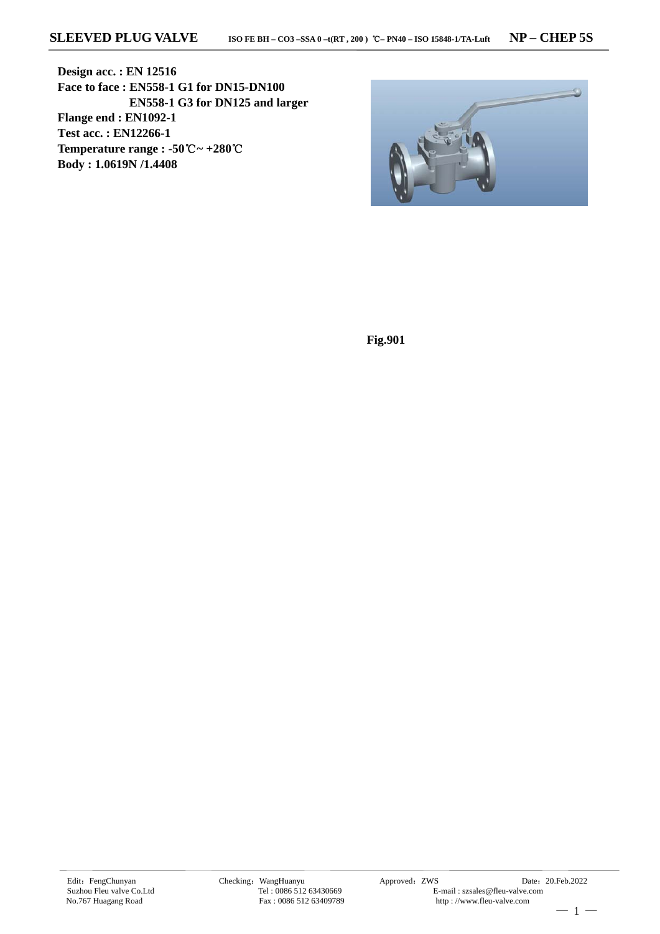**Design acc. : EN 12516 Face to face : EN558-1 G1 for DN15-DN100 EN558-1 G3 for DN125 and larger Flange end : EN1092-1 Test acc. : EN12266-1 Temperature range : -50**℃**~ +280**℃ **Body : 1.0619N /1.4408**



**Fig.901**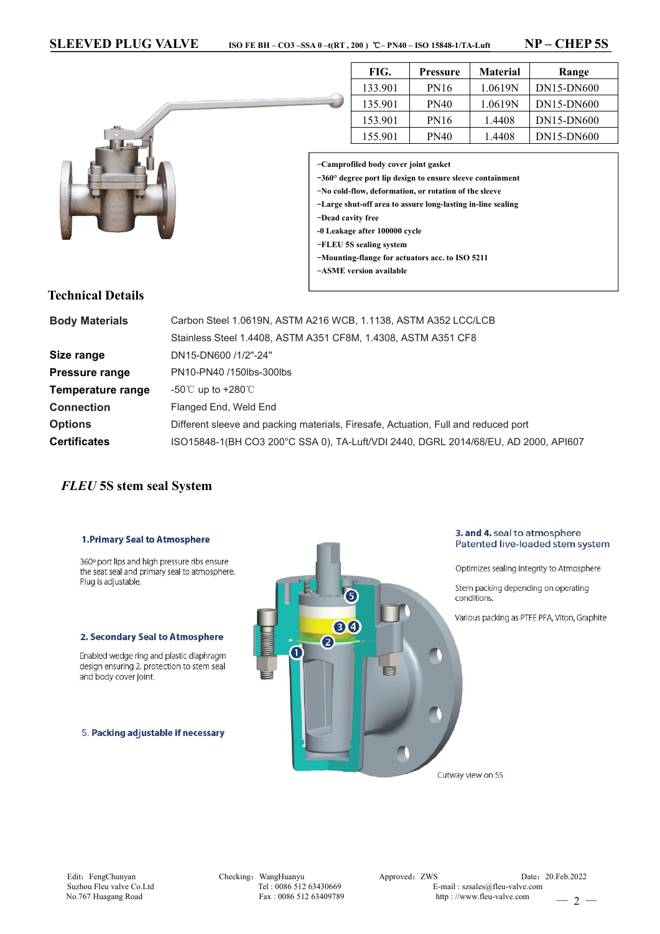

| FIG.<br>Pressure |             | Material | Range      |  |
|------------------|-------------|----------|------------|--|
| 133.901          | <b>PN16</b> | 1.0619N  | DN15-DN600 |  |
| 135.901          | <b>PN40</b> | 1.0619N  | DN15-DN600 |  |
| 153.901          | <b>PN16</b> | 1.4408   | DN15-DN600 |  |
| 155.901          | <b>PN40</b> | 1.4408   | DN15-DN600 |  |

-**Camprofiled body cover joint gasket**

-**360° degree portlip design toensure sleeve containment**

-**No cold-flow, deformation, or rotation of the sleeve**

-**Large shut-off area to assure long-lasting in-line sealing**

-**Dead cavity free**

- **-0 Leakage after 100000 cycle**
- -**FLEU 5S sealing system**
- -**Mounting-flange for actuators acc. to ISO 5211**
- -**ASME version available**

### **Technical Details**

| <b>Body Materials</b> | Carbon Steel 1.0619N, ASTM A216 WCB, 1.1138, ASTM A352 LCC/LCB                     |  |  |  |  |  |
|-----------------------|------------------------------------------------------------------------------------|--|--|--|--|--|
|                       | Stainless Steel 1.4408, ASTM A351 CF8M, 1.4308, ASTM A351 CF8                      |  |  |  |  |  |
| Size range            | DN15-DN600 /1/2"-24"                                                               |  |  |  |  |  |
| Pressure range        | PN10-PN40 /150lbs-300lbs                                                           |  |  |  |  |  |
| Temperature range     | -50 $\degree$ up to +280 $\degree$                                                 |  |  |  |  |  |
| <b>Connection</b>     | Flanged End, Weld End                                                              |  |  |  |  |  |
| <b>Options</b>        | Different sleeve and packing materials, Firesafe, Actuation, Full and reduced port |  |  |  |  |  |
| <b>Certificates</b>   | ISO15848-1(BH CO3 200°C SSA 0), TA-Luft/VDI 2440, DGRL 2014/68/EU, AD 2000, API607 |  |  |  |  |  |
|                       |                                                                                    |  |  |  |  |  |

# *FLEU* **5S stem seal System**

### **1. Primary Seal to Atmosphere**

360° port lips and high pressure ribs ensure the seat seal and primary seal to atmosphere. Plug is adjustable.

#### 2. Secondary Seal to Atmosphere

Enabled wedge ring and plastic diaphragm design ensuring 2. protection to stem seal and body cover joint.

5. Packing adjustable if necessary



3. and 4. seal to atmosphere Patented live-loaded stem system

Optimizes sealing integrity to Atmosphere

Stem packing depending on operating conditions.

Various packing as PTFE PFA, Viton, Graphite

Cutway view on 5S